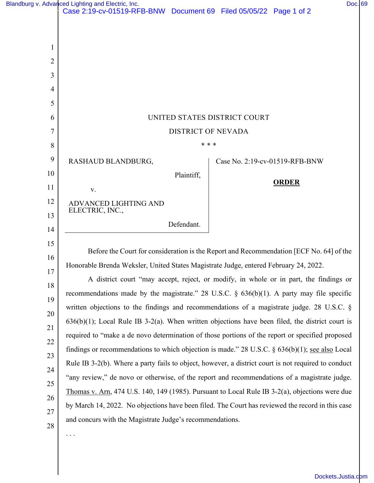|          | Blandburg v. Advanced Lighting and Electric, Inc.<br>Case 2:19-cv-01519-RFB-BNW Document 69 Filed 05/05/22 Page 1 of 2 |       |                                | Doc. 69 |  |  |
|----------|------------------------------------------------------------------------------------------------------------------------|-------|--------------------------------|---------|--|--|
|          |                                                                                                                        |       |                                |         |  |  |
|          |                                                                                                                        |       |                                |         |  |  |
| 1        |                                                                                                                        |       |                                |         |  |  |
| 2        |                                                                                                                        |       |                                |         |  |  |
| 3        |                                                                                                                        |       |                                |         |  |  |
| 4        |                                                                                                                        |       |                                |         |  |  |
| 5        |                                                                                                                        |       |                                |         |  |  |
| 6        | UNITED STATES DISTRICT COURT                                                                                           |       |                                |         |  |  |
| 7        | <b>DISTRICT OF NEVADA</b>                                                                                              |       |                                |         |  |  |
| 8        |                                                                                                                        | * * * |                                |         |  |  |
| 9        | RASHAUD BLANDBURG,                                                                                                     |       | Case No. 2:19-cv-01519-RFB-BNW |         |  |  |
| 10       | Plaintiff,                                                                                                             |       | <b>ORDER</b>                   |         |  |  |
| 11       | V.                                                                                                                     |       |                                |         |  |  |
| 12       | ADVANCED LIGHTING AND<br>ELECTRIC, INC.,                                                                               |       |                                |         |  |  |
| 13       | Defendant.                                                                                                             |       |                                |         |  |  |
| 14       |                                                                                                                        |       |                                |         |  |  |
| 15       | Before the Court for consideration is the Report and Recommendation [ECF No. 64] of the                                |       |                                |         |  |  |
| 16       | Honorable Brenda Weksler, United States Magistrate Judge, entered February 24, 2022.                                   |       |                                |         |  |  |
| 17       | A district court "may accept, reject, or modify, in whole or in part, the findings or                                  |       |                                |         |  |  |
| 18       | recommendations made by the magistrate." 28 U.S.C. $\S$ 636(b)(1). A party may file specific                           |       |                                |         |  |  |
| 19       | written objections to the findings and recommendations of a magistrate judge. 28 U.S.C. §                              |       |                                |         |  |  |
| 20<br>21 | $636(b)(1)$ ; Local Rule IB 3-2(a). When written objections have been filed, the district court is                     |       |                                |         |  |  |
| 22       | required to "make a de novo determination of those portions of the report or specified proposed                        |       |                                |         |  |  |
| 23       | findings or recommendations to which objection is made." 28 U.S.C. $\S$ 636(b)(1); see also Local                      |       |                                |         |  |  |
| 24       | Rule IB 3-2(b). Where a party fails to object, however, a district court is not required to conduct                    |       |                                |         |  |  |
| 25       | "any review," de novo or otherwise, of the report and recommendations of a magistrate judge.                           |       |                                |         |  |  |
| 26       | Thomas v. Arn, 474 U.S. 140, 149 (1985). Pursuant to Local Rule IB 3-2(a), objections were due                         |       |                                |         |  |  |
| 27       | by March 14, 2022. No objections have been filed. The Court has reviewed the record in this case                       |       |                                |         |  |  |
| 28       | and concurs with the Magistrate Judge's recommendations.                                                               |       |                                |         |  |  |
|          | $\cdots$                                                                                                               |       |                                |         |  |  |
|          |                                                                                                                        |       |                                |         |  |  |
|          |                                                                                                                        |       |                                |         |  |  |